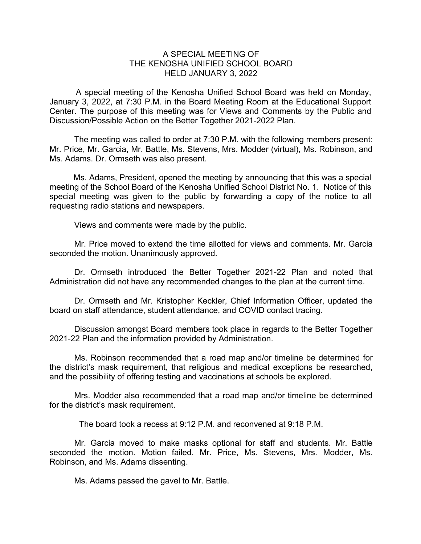## A SPECIAL MEETING OF THE KENOSHA UNIFIED SCHOOL BOARD HELD JANUARY 3, 2022

A special meeting of the Kenosha Unified School Board was held on Monday, January 3, 2022, at 7:30 P.M. in the Board Meeting Room at the Educational Support Center. The purpose of this meeting was for Views and Comments by the Public and Discussion/Possible Action on the Better Together 2021-2022 Plan.

The meeting was called to order at 7:30 P.M. with the following members present: Mr. Price, Mr. Garcia, Mr. Battle, Ms. Stevens, Mrs. Modder (virtual), Ms. Robinson, and Ms. Adams. Dr. Ormseth was also present.

Ms. Adams, President, opened the meeting by announcing that this was a special meeting of the School Board of the Kenosha Unified School District No. 1. Notice of this special meeting was given to the public by forwarding a copy of the notice to all requesting radio stations and newspapers.

Views and comments were made by the public.

Mr. Price moved to extend the time allotted for views and comments. Mr. Garcia seconded the motion. Unanimously approved.

Dr. Ormseth introduced the Better Together 2021-22 Plan and noted that Administration did not have any recommended changes to the plan at the current time.

Dr. Ormseth and Mr. Kristopher Keckler, Chief Information Officer, updated the board on staff attendance, student attendance, and COVID contact tracing.

Discussion amongst Board members took place in regards to the Better Together 2021-22 Plan and the information provided by Administration.

Ms. Robinson recommended that a road map and/or timeline be determined for the district's mask requirement, that religious and medical exceptions be researched, and the possibility of offering testing and vaccinations at schools be explored.

Mrs. Modder also recommended that a road map and/or timeline be determined for the district's mask requirement.

The board took a recess at 9:12 P.M. and reconvened at 9:18 P.M.

Mr. Garcia moved to make masks optional for staff and students. Mr. Battle seconded the motion. Motion failed. Mr. Price, Ms. Stevens, Mrs. Modder, Ms. Robinson, and Ms. Adams dissenting.

Ms. Adams passed the gavel to Mr. Battle.